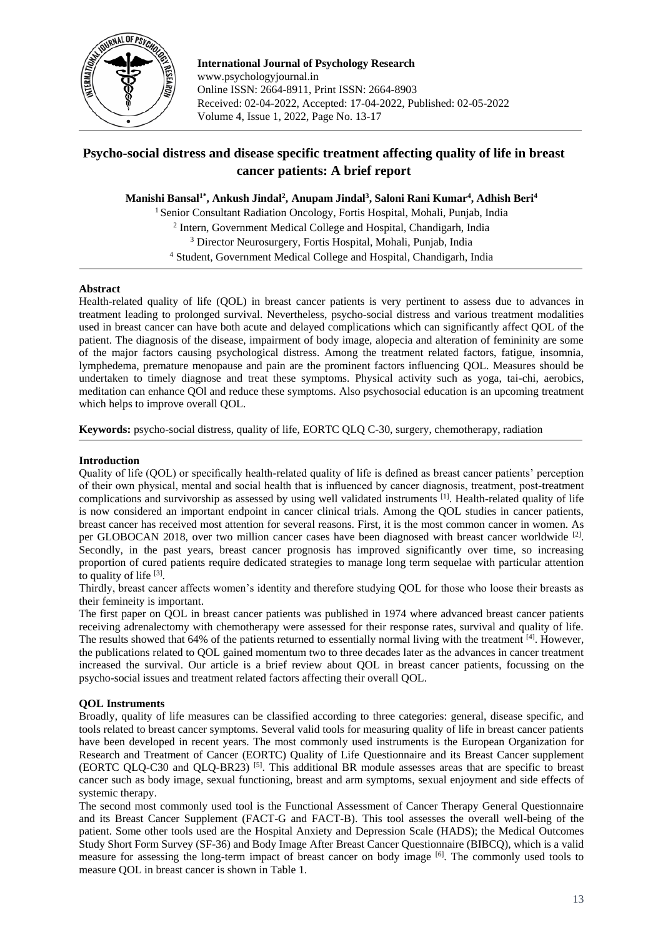

**International Journal of Psychology Research** www.psychologyjournal.in Online ISSN: 2664-8911, Print ISSN: 2664-8903 Received: 02-04-2022, Accepted: 17-04-2022, Published: 02-05-2022 Volume 4, Issue 1, 2022, Page No. 13-17

# **Psycho-social distress and disease specific treatment affecting quality of life in breast cancer patients: A brief report**

**Manishi Bansal1\* , Ankush Jindal<sup>2</sup> , Anupam Jindal<sup>3</sup> , Saloni Rani Kumar<sup>4</sup> , Adhish Beri<sup>4</sup>**

<sup>1</sup> Senior Consultant Radiation Oncology, Fortis Hospital, Mohali, Punjab, India <sup>2</sup> Intern, Government Medical College and Hospital, Chandigarh, India <sup>3</sup> Director Neurosurgery, Fortis Hospital, Mohali, Punjab, India <sup>4</sup> Student, Government Medical College and Hospital, Chandigarh, India

## **Abstract**

Health-related quality of life (QOL) in breast cancer patients is very pertinent to assess due to advances in treatment leading to prolonged survival. Nevertheless, psycho-social distress and various treatment modalities used in breast cancer can have both acute and delayed complications which can significantly affect QOL of the patient. The diagnosis of the disease, impairment of body image, alopecia and alteration of femininity are some of the major factors causing psychological distress. Among the treatment related factors, fatigue, insomnia, lymphedema, premature menopause and pain are the prominent factors influencing QOL. Measures should be undertaken to timely diagnose and treat these symptoms. Physical activity such as yoga, tai-chi, aerobics, meditation can enhance QOl and reduce these symptoms. Also psychosocial education is an upcoming treatment which helps to improve overall QOL.

**Keywords:** psycho-social distress, quality of life, EORTC QLQ C-30, surgery, chemotherapy, radiation

## **Introduction**

Quality of life (QOL) or specifically health-related quality of life is defined as breast cancer patients' perception of their own physical, mental and social health that is influenced by cancer diagnosis, treatment, post-treatment complications and survivorship as assessed by using well validated instruments [1]. Health-related quality of life is now considered an important endpoint in cancer clinical trials. Among the QOL studies in cancer patients, breast cancer has received most attention for several reasons. First, it is the most common cancer in women. As per GLOBOCAN 2018, over two million cancer cases have been diagnosed with breast cancer worldwide <sup>[2]</sup>. Secondly, in the past years, breast cancer prognosis has improved significantly over time, so increasing proportion of cured patients require dedicated strategies to manage long term sequelae with particular attention to quality of life  $[3]$ .

Thirdly, breast cancer affects women's identity and therefore studying QOL for those who loose their breasts as their femineity is important.

The first paper on QOL in breast cancer patients was published in 1974 where advanced breast cancer patients receiving adrenalectomy with chemotherapy were assessed for their response rates, survival and quality of life. The results showed that 64% of the patients returned to essentially normal living with the treatment [4]. However, the publications related to QOL gained momentum two to three decades later as the advances in cancer treatment increased the survival. Our article is a brief review about QOL in breast cancer patients, focussing on the psycho-social issues and treatment related factors affecting their overall QOL.

## **QOL Instruments**

Broadly, quality of life measures can be classified according to three categories: general, disease specific, and tools related to breast cancer symptoms. Several valid tools for measuring quality of life in breast cancer patients have been developed in recent years. The most commonly used instruments is the European Organization for Research and Treatment of Cancer (EORTC) Quality of Life Questionnaire and its Breast Cancer supplement (EORTC QLQ-C30 and QLQ-BR23) [5] . This additional BR module assesses areas that are specific to breast cancer such as body image, sexual functioning, breast and arm symptoms, sexual enjoyment and side effects of systemic therapy.

The second most commonly used tool is the Functional Assessment of Cancer Therapy General Questionnaire and its Breast Cancer Supplement (FACT-G and FACT-B). This tool assesses the overall well-being of the patient. Some other tools used are the Hospital Anxiety and Depression Scale (HADS); the Medical Outcomes Study Short Form Survey (SF-36) and Body Image After Breast Cancer Questionnaire (BIBCQ), which is a valid measure for assessing the long-term impact of breast cancer on body image [6]. The commonly used tools to measure QOL in breast cancer is shown in Table 1.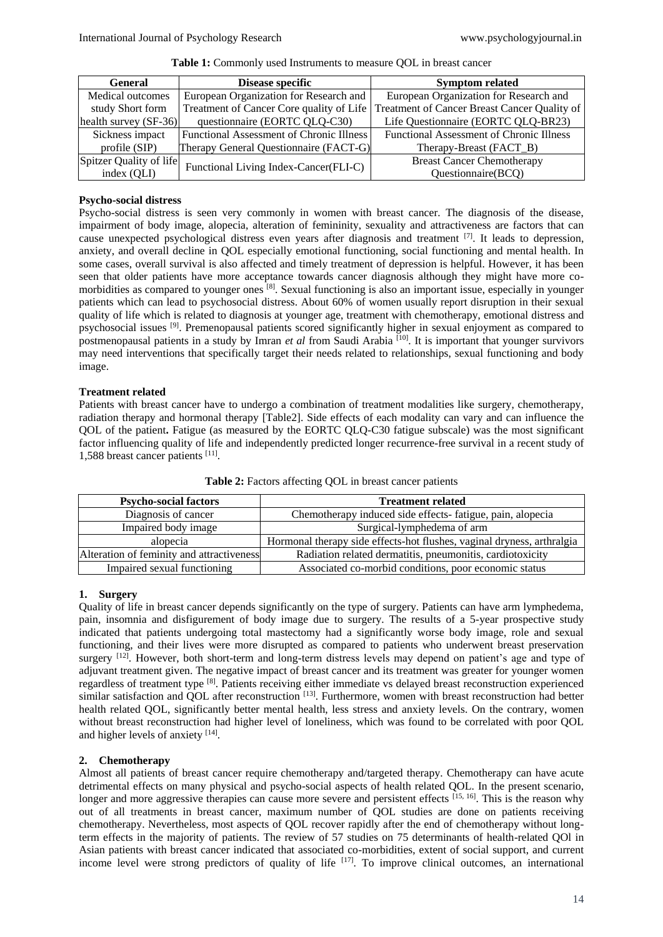| Disease specific<br><b>General</b> |                                                 | <b>Symptom related</b>                                                                  |  |
|------------------------------------|-------------------------------------------------|-----------------------------------------------------------------------------------------|--|
| Medical outcomes                   | European Organization for Research and          | European Organization for Research and                                                  |  |
| study Short form                   |                                                 | Treatment of Cancer Core quality of Life   Treatment of Cancer Breast Cancer Quality of |  |
| health survey (SF-36)              | questionnaire (EORTC QLQ-C30)                   | Life Questionnaire (EORTC QLQ-BR23)                                                     |  |
| Sickness impact                    | <b>Functional Assessment of Chronic Illness</b> | <b>Functional Assessment of Chronic Illness</b>                                         |  |
| profile $(SIP)$                    | Therapy General Questionnaire (FACT-G)          | Therapy-Breast (FACT_B)                                                                 |  |
| Spitzer Quality of life            |                                                 | <b>Breast Cancer Chemotherapy</b>                                                       |  |
| index (QLI)                        | Functional Living Index-Cancer(FLI-C)           | Questionnaire(BCQ)                                                                      |  |

**Table 1:** Commonly used Instruments to measure QOL in breast cancer

## **Psycho-social distress**

Psycho-social distress is seen very commonly in women with breast cancer. The diagnosis of the disease, impairment of body image, alopecia, alteration of femininity, sexuality and attractiveness are factors that can cause unexpected psychological distress even years after diagnosis and treatment [7]. It leads to depression, anxiety, and overall decline in QOL especially emotional functioning, social functioning and mental health. In some cases, overall survival is also affected and timely treatment of depression is helpful. However, it has been seen that older patients have more acceptance towards cancer diagnosis although they might have more comorbidities as compared to younger ones <sup>[8]</sup>. Sexual functioning is also an important issue, especially in younger patients which can lead to psychosocial distress. About 60% of women usually report disruption in their sexual quality of life which is related to diagnosis at younger age, treatment with chemotherapy, emotional distress and psychosocial issues [9]. Premenopausal patients scored significantly higher in sexual enjoyment as compared to postmenopausal patients in a study by Imran *et al* from Saudi Arabia [10]. It is important that younger survivors may need interventions that specifically target their needs related to relationships, sexual functioning and body image.

## **Treatment related**

Patients with breast cancer have to undergo a combination of treatment modalities like surgery, chemotherapy, radiation therapy and hormonal therapy [Table2]. Side effects of each modality can vary and can influence the QOL of the patient**.** Fatigue (as measured by the EORTC QLQ-C30 fatigue subscale) was the most significant factor influencing quality of life and independently predicted longer recurrence-free survival in a recent study of 1,588 breast cancer patients [11] .

| <b>Psycho-social factors</b>              | <b>Treatment related</b>                                               |  |  |
|-------------------------------------------|------------------------------------------------------------------------|--|--|
| Diagnosis of cancer                       | Chemotherapy induced side effects-fatigue, pain, alopecia              |  |  |
| Impaired body image                       | Surgical-lymphedema of arm                                             |  |  |
| alopecia                                  | Hormonal therapy side effects-hot flushes, vaginal dryness, arthralgia |  |  |
| Alteration of feminity and attractiveness | Radiation related dermatitis, pneumonitis, cardiotoxicity              |  |  |
| Impaired sexual functioning               | Associated co-morbid conditions, poor economic status                  |  |  |

Table 2: Factors affecting QOL in breast cancer patients

# **1. Surgery**

Quality of life in breast cancer depends significantly on the type of surgery. Patients can have arm lymphedema, pain, insomnia and disfigurement of body image due to surgery. The results of a 5-year prospective study indicated that patients undergoing total mastectomy had a significantly worse body image, role and sexual functioning, and their lives were more disrupted as compared to patients who underwent breast preservation surgery <sup>[12]</sup>. However, both short-term and long-term distress levels may depend on patient's age and type of adjuvant treatment given. The negative impact of breast cancer and its treatment was greater for younger women regardless of treatment type [8]. Patients receiving either immediate vs delayed breast reconstruction experienced similar satisfaction and OOL after reconstruction  $^{[13]}$ . Furthermore, women with breast reconstruction had better health related QOL, significantly better mental health, less stress and anxiety levels. On the contrary, women without breast reconstruction had higher level of loneliness, which was found to be correlated with poor QOL and higher levels of anxiety [14].

## **2. Chemotherapy**

Almost all patients of breast cancer require chemotherapy and/targeted therapy. Chemotherapy can have acute detrimental effects on many physical and psycho-social aspects of health related QOL. In the present scenario, longer and more aggressive therapies can cause more severe and persistent effects [15, 16]. This is the reason why out of all treatments in breast cancer, maximum number of QOL studies are done on patients receiving chemotherapy. Nevertheless, most aspects of QOL recover rapidly after the end of chemotherapy without longterm effects in the majority of patients. The review of 57 studies on 75 determinants of health-related QOl in Asian patients with breast cancer indicated that associated co-morbidities, extent of social support, and current income level were strong predictors of quality of life <sup>[17]</sup>. To improve clinical outcomes, an international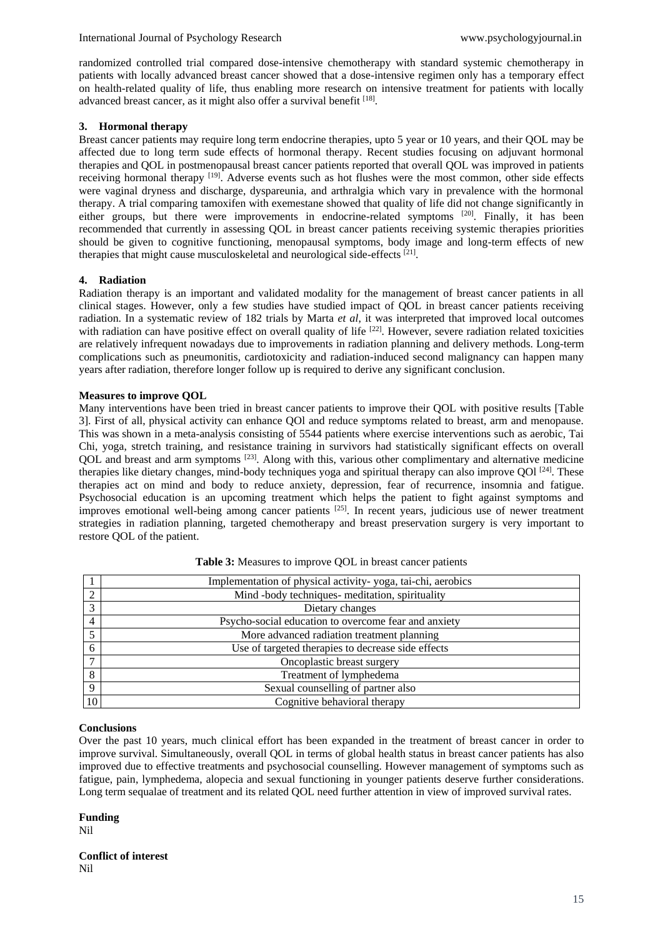randomized controlled trial compared dose-intensive chemotherapy with standard systemic chemotherapy in patients with locally advanced breast cancer showed that a dose-intensive regimen only has a temporary effect on health-related quality of life, thus enabling more research on intensive treatment for patients with locally advanced breast cancer, as it might also offer a survival benefit [18].

#### **3. Hormonal therapy**

Breast cancer patients may require long term endocrine therapies, upto 5 year or 10 years, and their QOL may be affected due to long term sude effects of hormonal therapy. Recent studies focusing on adjuvant hormonal therapies and QOL in postmenopausal breast cancer patients reported that overall QOL was improved in patients receiving hormonal therapy <sup>[19]</sup>. Adverse events such as hot flushes were the most common, other side effects were vaginal dryness and discharge, dyspareunia, and arthralgia which vary in prevalence with the hormonal therapy. A trial comparing tamoxifen with exemestane showed that quality of life did not change significantly in either groups, but there were improvements in endocrine-related symptoms [20]. Finally, it has been recommended that currently in assessing QOL in breast cancer patients receiving systemic therapies priorities should be given to cognitive functioning, menopausal symptoms, body image and long-term effects of new therapies that might cause musculoskeletal and neurological side-effects [21].

#### **4. Radiation**

Radiation therapy is an important and validated modality for the management of breast cancer patients in all clinical stages. However, only a few studies have studied impact of QOL in breast cancer patients receiving radiation. In a systematic review of 182 trials by Marta *et al*, it was interpreted that improved local outcomes with radiation can have positive effect on overall quality of life <sup>[22]</sup>. However, severe radiation related toxicities are relatively infrequent nowadays due to improvements in radiation planning and delivery methods. Long-term complications such as pneumonitis, cardiotoxicity and radiation-induced second malignancy can happen many years after radiation, therefore longer follow up is required to derive any significant conclusion.

#### **Measures to improve QOL**

Many interventions have been tried in breast cancer patients to improve their QOL with positive results [Table 3]. First of all, physical activity can enhance QOl and reduce symptoms related to breast, arm and menopause. This was shown in a meta-analysis consisting of 5544 patients where exercise interventions such as aerobic, Tai Chi, yoga, stretch training, and resistance training in survivors had statistically significant effects on overall QOL and breast and arm symptoms [23]. Along with this, various other complimentary and alternative medicine therapies like dietary changes, mind-body techniques yoga and spiritual therapy can also improve OOI  $[24]$ . These therapies act on mind and body to reduce anxiety, depression, fear of recurrence, insomnia and fatigue. Psychosocial education is an upcoming treatment which helps the patient to fight against symptoms and improves emotional well-being among cancer patients [25]. In recent years, judicious use of newer treatment strategies in radiation planning, targeted chemotherapy and breast preservation surgery is very important to restore QOL of the patient.

|                | Implementation of physical activity-yoga, tai-chi, aerobics |
|----------------|-------------------------------------------------------------|
| 2              | Mind -body techniques- meditation, spirituality             |
| 3              | Dietary changes                                             |
| $\overline{4}$ | Psycho-social education to overcome fear and anxiety        |
|                | More advanced radiation treatment planning                  |
| 6              | Use of targeted therapies to decrease side effects          |
| $\mathbf{r}$   | Oncoplastic breast surgery                                  |
| 8              | Treatment of lymphedema                                     |
| 9              | Sexual counselling of partner also                          |
| 10             | Cognitive behavioral therapy                                |

| Table 3: Measures to improve QOL in breast cancer patients |  |  |  |
|------------------------------------------------------------|--|--|--|
|------------------------------------------------------------|--|--|--|

#### **Conclusions**

Over the past 10 years, much clinical effort has been expanded in the treatment of breast cancer in order to improve survival. Simultaneously, overall QOL in terms of global health status in breast cancer patients has also improved due to effective treatments and psychosocial counselling. However management of symptoms such as fatigue, pain, lymphedema, alopecia and sexual functioning in younger patients deserve further considerations. Long term sequalae of treatment and its related QOL need further attention in view of improved survival rates.

#### **Funding**

Nil

#### **Conflict of interest** Nil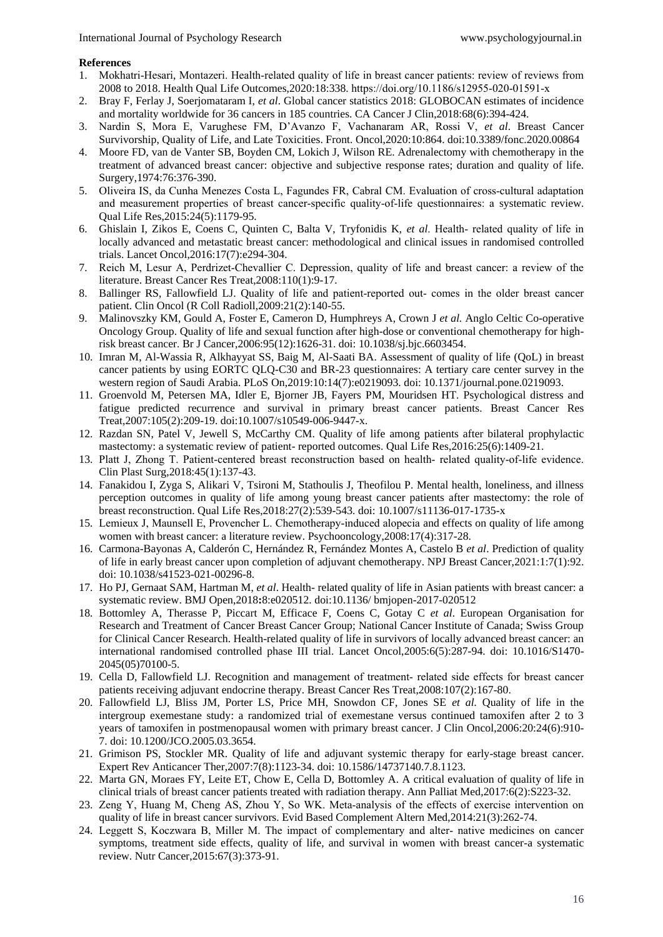#### **References**

- 1. Mokhatri‐Hesari, Montazeri. Health‐related quality of life in breast cancer patients: review of reviews from 2008 to 2018. Health Qual Life Outcomes,2020:18:338. https://doi.org/10.1186/s12955‐020‐01591‐x
- 2. Bray F, Ferlay J, Soerjomataram I, *et al*. Global cancer statistics 2018: GLOBOCAN estimates of incidence and mortality worldwide for 36 cancers in 185 countries. CA Cancer J Clin,2018:68(6):394-424.
- 3. Nardin S, Mora E, Varughese FM, D'Avanzo F, Vachanaram AR, Rossi V, *et al*. Breast Cancer Survivorship, Quality of Life, and Late Toxicities. Front. Oncol,2020:10:864. doi:10.3389/fonc.2020.00864
- 4. Moore FD, van de Vanter SB, Boyden CM, Lokich J, Wilson RE. Adrenalectomy with chemotherapy in the treatment of advanced breast cancer: objective and subjective response rates; duration and quality of life. Surgery,1974:76:376-390.
- 5. Oliveira IS, da Cunha Menezes Costa L, Fagundes FR, Cabral CM. Evaluation of cross‐cultural adaptation and measurement properties of breast cancer-specific quality-of-life questionnaires: a systematic review. Qual Life Res,2015:24(5):1179-95.
- 6. Ghislain I, Zikos E, Coens C, Quinten C, Balta V, Tryfonidis K, *et al*. Health‐ related quality of life in locally advanced and metastatic breast cancer: methodological and clinical issues in randomised controlled trials. Lancet Oncol,2016:17(7):e294-304.
- 7. Reich M, Lesur A, Perdrizet‐Chevallier C. Depression, quality of life and breast cancer: a review of the literature. Breast Cancer Res Treat,2008:110(1):9-17.
- 8. Ballinger RS, Fallowfield LJ. Quality of life and patient-reported out-comes in the older breast cancer patient. Clin Oncol (R Coll Radioll,2009:21(2):140-55.
- 9. Malinovszky KM, Gould A, Foster E, Cameron D, Humphreys A, Crown J *et al.* Anglo Celtic Co-operative Oncology Group. Quality of life and sexual function after high-dose or conventional chemotherapy for highrisk breast cancer. Br J Cancer,2006:95(12):1626-31. doi: 10.1038/sj.bjc.6603454.
- 10. Imran M, Al-Wassia R, Alkhayyat SS, Baig M, Al-Saati BA. Assessment of quality of life (QoL) in breast cancer patients by using EORTC QLQ-C30 and BR-23 questionnaires: A tertiary care center survey in the western region of Saudi Arabia. PLoS On,2019:10:14(7):e0219093. doi: 10.1371/journal.pone.0219093.
- 11. Groenvold M, Petersen MA, Idler E, Bjorner JB, Fayers PM, Mouridsen HT. Psychological distress and fatigue predicted recurrence and survival in primary breast cancer patients. Breast Cancer Res Treat,2007:105(2):209-19. doi:10.1007/s10549-006-9447-x.
- 12. Razdan SN, Patel V, Jewell S, McCarthy CM. Quality of life among patients after bilateral prophylactic mastectomy: a systematic review of patient- reported outcomes. Qual Life Res,2016:25(6):1409-21.
- 13. Platt J, Zhong T. Patient-centered breast reconstruction based on health-related quality-of-life evidence. Clin Plast Surg,2018:45(1):137-43.
- 14. Fanakidou I, Zyga S, Alikari V, Tsironi M, Stathoulis J, Theofilou P. Mental health, loneliness, and illness perception outcomes in quality of life among young breast cancer patients after mastectomy: the role of breast reconstruction. Qual Life Res,2018:27(2):539-543. doi: 10.1007/s11136-017-1735-x
- 15. Lemieux J, Maunsell E, Provencher L. Chemotherapy‐induced alopecia and effects on quality of life among women with breast cancer: a literature review. Psychooncology,2008:17(4):317-28.
- 16. Carmona-Bayonas A, Calderón C, Hernández R, Fernández Montes A, Castelo B *et al*. Prediction of quality of life in early breast cancer upon completion of adjuvant chemotherapy. NPJ Breast Cancer,2021:1:7(1):92. doi: 10.1038/s41523-021-00296-8.
- 17. Ho PJ, Gernaat SAM, Hartman M, *et al*. Health- related quality of life in Asian patients with breast cancer: a systematic review. BMJ Open,2018**:**8:e020512. doi:10.1136/ bmjopen-2017-020512
- 18. Bottomley A, Therasse P, Piccart M, Efficace F, Coens C, Gotay C *et al*. European Organisation for Research and Treatment of Cancer Breast Cancer Group; National Cancer Institute of Canada; Swiss Group for Clinical Cancer Research. Health-related quality of life in survivors of locally advanced breast cancer: an international randomised controlled phase III trial. Lancet Oncol,2005:6(5):287-94. doi: 10.1016/S1470- 2045(05)70100-5.
- 19. Cella D, Fallowfield LJ. Recognition and management of treatment‐ related side effects for breast cancer patients receiving adjuvant endocrine therapy. Breast Cancer Res Treat,2008:107(2):167-80.
- 20. Fallowfield LJ, Bliss JM, Porter LS, Price MH, Snowdon CF, Jones SE *et al.* Quality of life in the intergroup exemestane study: a randomized trial of exemestane versus continued tamoxifen after 2 to 3 years of tamoxifen in postmenopausal women with primary breast cancer. J Clin Oncol,2006:20:24(6):910- 7. doi: 10.1200/JCO.2005.03.3654.
- 21. Grimison PS, Stockler MR. Quality of life and adjuvant systemic therapy for early-stage breast cancer. Expert Rev Anticancer Ther,2007:7(8):1123-34. doi: 10.1586/14737140.7.8.1123.
- 22. Marta GN, Moraes FY, Leite ET, Chow E, Cella D, Bottomley A. A critical evaluation of quality of life in clinical trials of breast cancer patients treated with radiation therapy. Ann Palliat Med,2017:6(2):S223-32.
- 23. Zeng Y, Huang M, Cheng AS, Zhou Y, So WK. Meta‐analysis of the effects of exercise intervention on quality of life in breast cancer survivors. Evid Based Complement Altern Med,2014:21(3):262-74.
- 24. Leggett S, Koczwara B, Miller M. The impact of complementary and alter‐ native medicines on cancer symptoms, treatment side effects, quality of life, and survival in women with breast cancer-a systematic review. Nutr Cancer,2015:67(3):373-91.